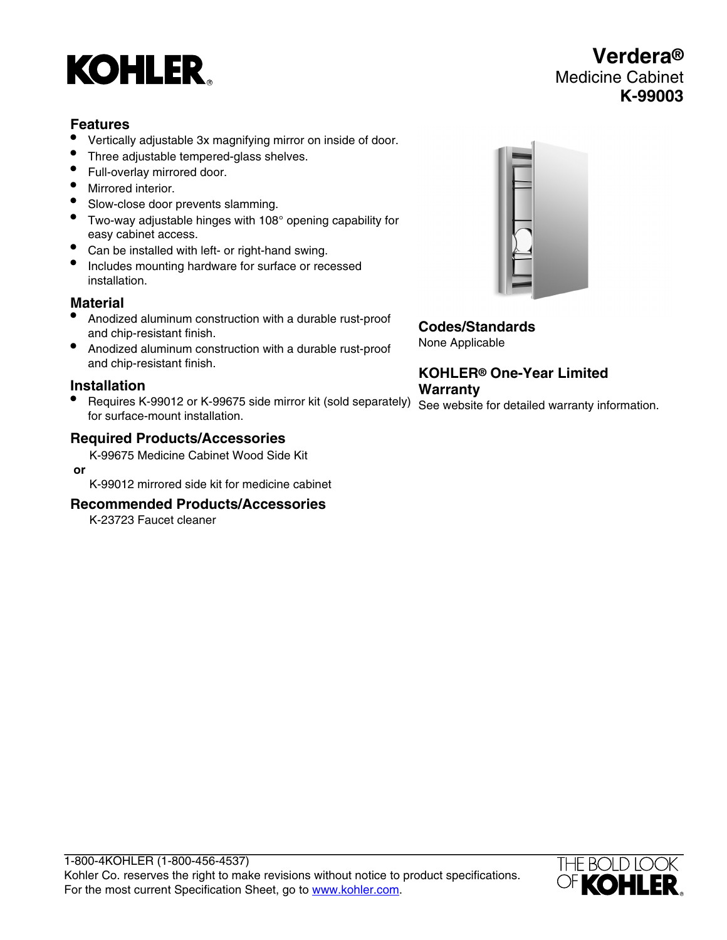# **KOHLER**

#### **Features**

- Vertically adjustable 3x magnifying mirror on inside of door.
- Three adjustable tempered-glass shelves.
- Full-overlay mirrored door.
- Mirrored interior.
- Slow-close door prevents slamming.
- Two-way adjustable hinges with 108° opening capability for easy cabinet access.
- Can be installed with left- or right-hand swing.
- Includes mounting hardware for surface or recessed installation.

### **Material**

- Anodized aluminum construction with a durable rust-proof and chip-resistant finish.
- Anodized aluminum construction with a durable rust-proof and chip-resistant finish.

#### **Installation**

• Requires K-99012 or K-99675 side mirror kit (sold separately) See website for detailed warranty information. for surface-mount installation.

#### **Required Products/Accessories**

K-99675 Medicine Cabinet Wood Side Kit

 **or** K-99012 mirrored side kit for medicine cabinet

#### **Recommended Products/Accessories**

K-23723 Faucet cleaner



**Codes/Standards** None Applicable

**KOHLER® One-Year Limited Warranty**



## **Verdera®** Medicine Cabinet **K-99003**